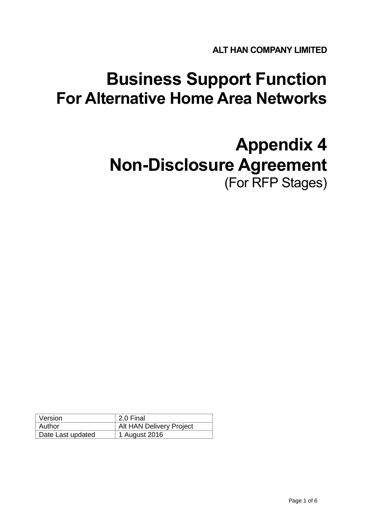**ALT HAN COMPANY LIMITED**

# **Business Support Function For Alternative Home Area Networks**

# **Appendix 4 Non-Disclosure Agreement** (For RFP Stages)

| Version           | 2.0 Final                |
|-------------------|--------------------------|
| Author            | Alt HAN Delivery Project |
| Date Last updated | 1 August 2016            |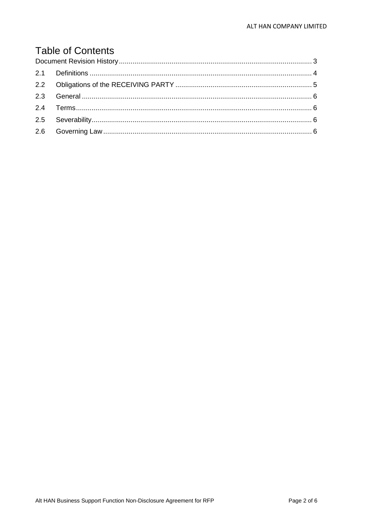# **Table of Contents**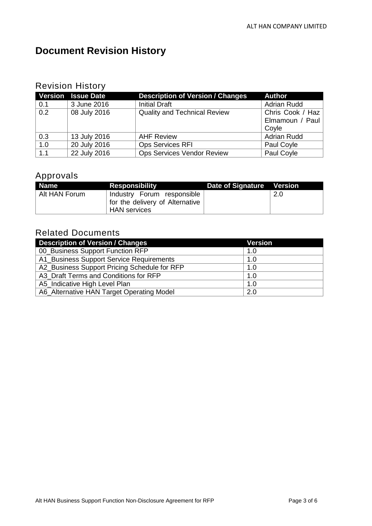## <span id="page-2-0"></span>**Document Revision History**

### Revision History

|     | <b>Version Issue Date</b> | <b>Description of Version / Changes</b> | <b>Author</b>      |
|-----|---------------------------|-----------------------------------------|--------------------|
| 0.1 | 3 June 2016               | <b>Initial Draft</b>                    | <b>Adrian Rudd</b> |
| 0.2 | 08 July 2016              | <b>Quality and Technical Review</b>     | Chris Cook / Haz   |
|     |                           |                                         | Elmamoun / Paul    |
|     |                           |                                         | Coyle              |
| 0.3 | 13 July 2016              | <b>AHF Review</b>                       | <b>Adrian Rudd</b> |
| 1.0 | 20 July 2016              | <b>Ops Services RFI</b>                 | Paul Coyle         |
| 1.1 | 22 July 2016              | <b>Ops Services Vendor Review</b>       | Paul Coyle         |

## Approvals

| <b>Name</b>   | <b>Responsibility</b>           | Date of Signature Version |      |
|---------------|---------------------------------|---------------------------|------|
| Alt HAN Forum | Industry Forum responsible      |                           | -2.0 |
|               | for the delivery of Alternative |                           |      |
|               | <b>HAN</b> services             |                           |      |

### Related Documents

| <b>Description of Version / Changes</b>      | <b>Version</b> |
|----------------------------------------------|----------------|
| 00 Business Support Function RFP             | 1.0            |
| A1 Business Support Service Requirements     | 1.0            |
| A2_Business Support Pricing Schedule for RFP | 1.0            |
| A3 Draft Terms and Conditions for RFP        | 1.0            |
| A5 Indicative High Level Plan                | 1.0            |
| A6_Alternative HAN Target Operating Model    | 2.0            |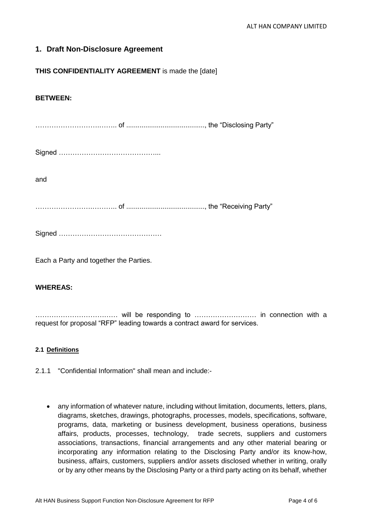#### **1. Draft Non-Disclosure Agreement**

#### **THIS CONFIDENTIALITY AGREEMENT** is made the [date]

#### **BETWEEN:**

……………………….…….. of ........................................., the "Disclosing Party"

and

…………………….……….. of ........................................., the "Receiving Party"

Signed ………………………………………

Each a Party and together the Parties.

#### **WHEREAS:**

……………………………… will be responding to ……………………… in connection with a request for proposal "RFP" leading towards a contract award for services.

#### <span id="page-3-0"></span>**2.1 Definitions**

- 2.1.1 "Confidential Information" shall mean and include:-
	- any information of whatever nature, including without limitation, documents, letters, plans, diagrams, sketches, drawings, photographs, processes, models, specifications, software, programs, data, marketing or business development, business operations, business affairs, products, processes, technology, trade secrets, suppliers and customers associations, transactions, financial arrangements and any other material bearing or incorporating any information relating to the Disclosing Party and/or its know-how, business, affairs, customers, suppliers and/or assets disclosed whether in writing, orally or by any other means by the Disclosing Party or a third party acting on its behalf, whether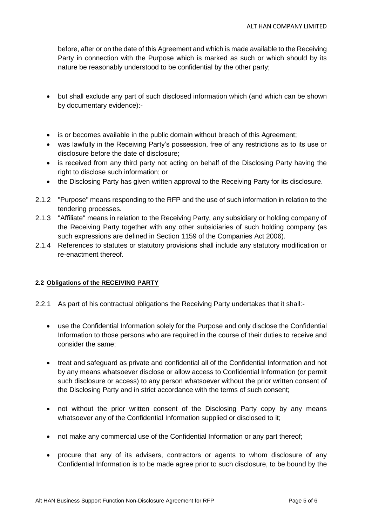before, after or on the date of this Agreement and which is made available to the Receiving Party in connection with the Purpose which is marked as such or which should by its nature be reasonably understood to be confidential by the other party;

- but shall exclude any part of such disclosed information which (and which can be shown by documentary evidence):-
- is or becomes available in the public domain without breach of this Agreement;
- was lawfully in the Receiving Party's possession, free of any restrictions as to its use or disclosure before the date of disclosure;
- is received from any third party not acting on behalf of the Disclosing Party having the right to disclose such information; or
- the Disclosing Party has given written approval to the Receiving Party for its disclosure.
- 2.1.2 "Purpose" means responding to the RFP and the use of such information in relation to the tendering processes.
- 2.1.3 "Affiliate" means in relation to the Receiving Party, any subsidiary or holding company of the Receiving Party together with any other subsidiaries of such holding company (as such expressions are defined in Section 1159 of the Companies Act 2006).
- 2.1.4 References to statutes or statutory provisions shall include any statutory modification or re-enactment thereof.

#### <span id="page-4-0"></span>**2.2 Obligations of the RECEIVING PARTY**

- 2.2.1 As part of his contractual obligations the Receiving Party undertakes that it shall:
	- use the Confidential Information solely for the Purpose and only disclose the Confidential Information to those persons who are required in the course of their duties to receive and consider the same;
	- treat and safeguard as private and confidential all of the Confidential Information and not by any means whatsoever disclose or allow access to Confidential Information (or permit such disclosure or access) to any person whatsoever without the prior written consent of the Disclosing Party and in strict accordance with the terms of such consent;
	- not without the prior written consent of the Disclosing Party copy by any means whatsoever any of the Confidential Information supplied or disclosed to it;
	- not make any commercial use of the Confidential Information or any part thereof;
	- procure that any of its advisers, contractors or agents to whom disclosure of any Confidential Information is to be made agree prior to such disclosure, to be bound by the